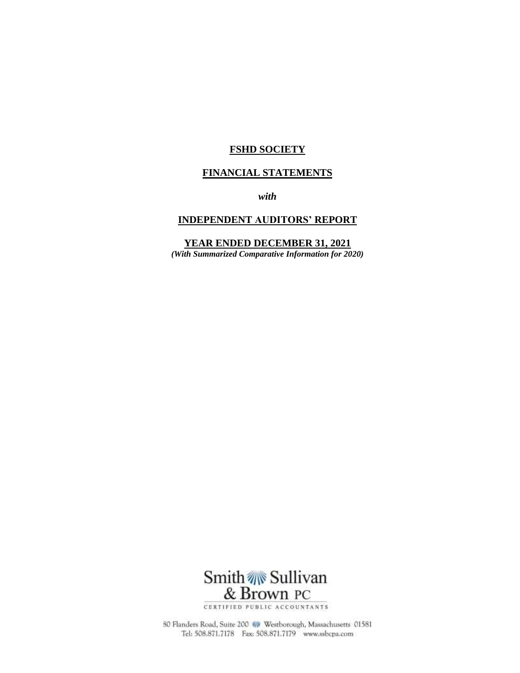# **FINANCIAL STATEMENTS**

*with*

# **INDEPENDENT AUDITORS' REPORT**

**YEAR ENDED DECEMBER 31, 2021** *(With Summarized Comparative Information for 2020)*



80 Flanders Road, Suite 200 % Westborough, Massachusetts 01581

Tel: 508.871.7178 Fax: 508.871.7179 www.ssbcpa.com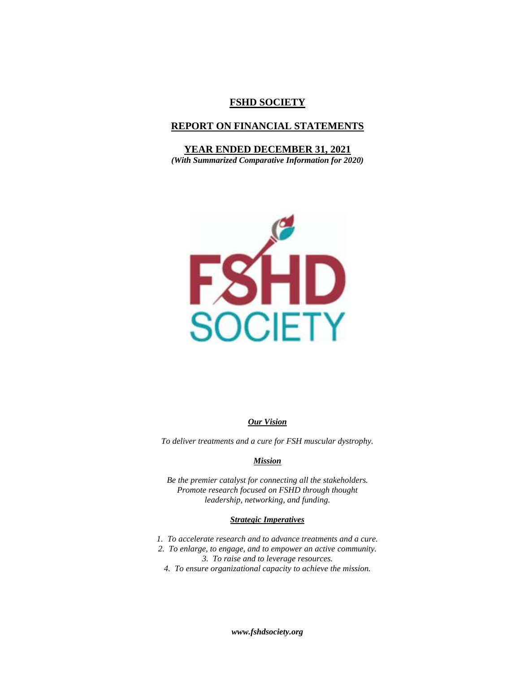## **REPORT ON FINANCIAL STATEMENTS**

**YEAR ENDED DECEMBER 31, 2021**

*(With Summarized Comparative Information for 2020)*



*Our Vision*

*To deliver treatments and a cure for FSH muscular dystrophy.*

#### *Mission*

*Be the premier catalyst for connecting all the stakeholders. Promote research focused on FSHD through thought leadership, networking, and funding.*

## *Strategic Imperatives*

- *1. To accelerate research and to advance treatments and a cure.*
- *2. To enlarge, to engage, and to empower an active community. 3. To raise and to leverage resources.*
- *4. To ensure organizational capacity to achieve the mission.*

*www.fshdsociety.org*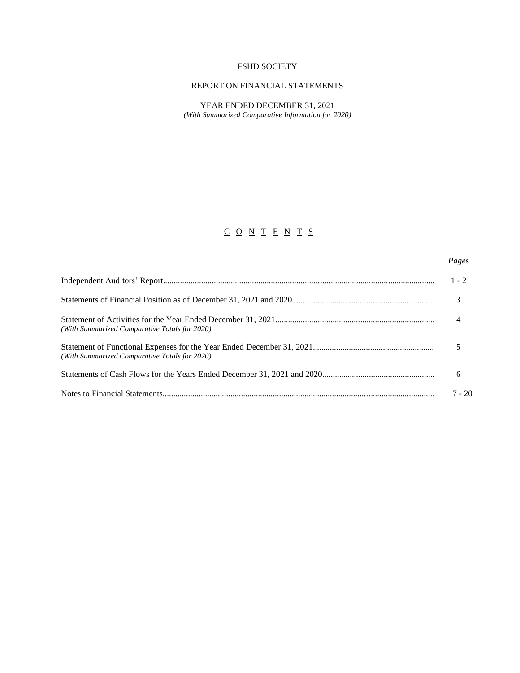## REPORT ON FINANCIAL STATEMENTS

## YEAR ENDED DECEMBER 31, 2021 *(With Summarized Comparative Information for 2020)*

# $C$  O N T E N T S

|                                               | $1 - 2$  |
|-----------------------------------------------|----------|
|                                               | 3        |
| (With Summarized Comparative Totals for 2020) |          |
| (With Summarized Comparative Totals for 2020) |          |
|                                               | 6        |
|                                               | $7 - 20$ |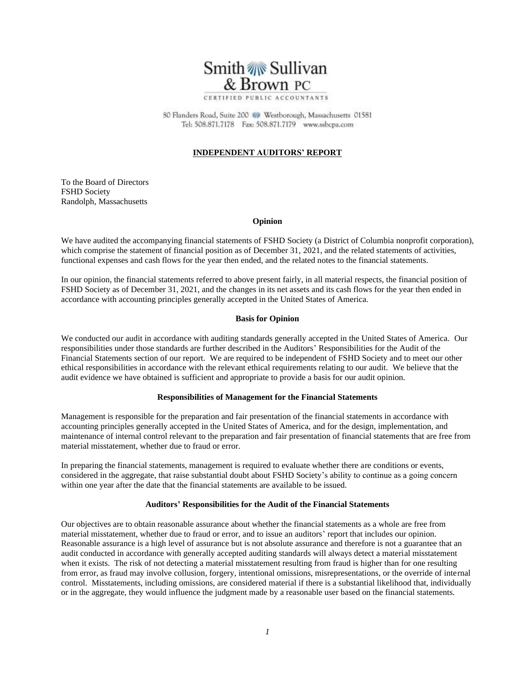# Smith **W** Sullivan & Brown PC

CERTIFIED PUBLIC ACCOUNTANTS

80 Flanders Road, Suite 200 %, Westborough, Massachusetts 01581 Tel: 508.871.7178 Fax: 508.871.7179 www.ssbcpa.com

## **INDEPENDENT AUDITORS' REPORT**

To the Board of Directors FSHD Society Randolph, Massachusetts

## **Opinion**

We have audited the accompanying financial statements of FSHD Society (a District of Columbia nonprofit corporation), which comprise the statement of financial position as of December 31, 2021, and the related statements of activities, functional expenses and cash flows for the year then ended, and the related notes to the financial statements.

In our opinion, the financial statements referred to above present fairly, in all material respects, the financial position of FSHD Society as of December 31, 2021, and the changes in its net assets and its cash flows for the year then ended in accordance with accounting principles generally accepted in the United States of America.

## **Basis for Opinion**

We conducted our audit in accordance with auditing standards generally accepted in the United States of America. Our responsibilities under those standards are further described in the Auditors' Responsibilities for the Audit of the Financial Statements section of our report. We are required to be independent of FSHD Society and to meet our other ethical responsibilities in accordance with the relevant ethical requirements relating to our audit. We believe that the audit evidence we have obtained is sufficient and appropriate to provide a basis for our audit opinion.

## **Responsibilities of Management for the Financial Statements**

Management is responsible for the preparation and fair presentation of the financial statements in accordance with accounting principles generally accepted in the United States of America, and for the design, implementation, and maintenance of internal control relevant to the preparation and fair presentation of financial statements that are free from material misstatement, whether due to fraud or error.

In preparing the financial statements, management is required to evaluate whether there are conditions or events, considered in the aggregate, that raise substantial doubt about FSHD Society's ability to continue as a going concern within one year after the date that the financial statements are available to be issued.

## **Auditors' Responsibilities for the Audit of the Financial Statements**

Our objectives are to obtain reasonable assurance about whether the financial statements as a whole are free from material misstatement, whether due to fraud or error, and to issue an auditors' report that includes our opinion. Reasonable assurance is a high level of assurance but is not absolute assurance and therefore is not a guarantee that an audit conducted in accordance with generally accepted auditing standards will always detect a material misstatement when it exists. The risk of not detecting a material misstatement resulting from fraud is higher than for one resulting from error, as fraud may involve collusion, forgery, intentional omissions, misrepresentations, or the override of internal control. Misstatements, including omissions, are considered material if there is a substantial likelihood that, individually or in the aggregate, they would influence the judgment made by a reasonable user based on the financial statements.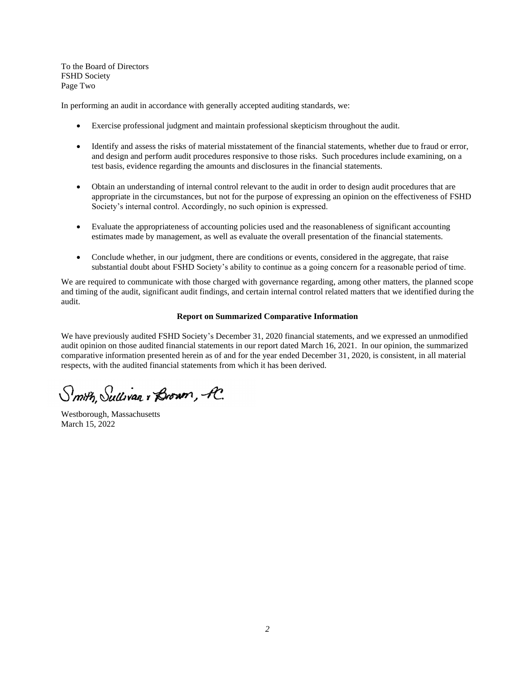To the Board of Directors FSHD Society Page Two

In performing an audit in accordance with generally accepted auditing standards, we:

- Exercise professional judgment and maintain professional skepticism throughout the audit.
- Identify and assess the risks of material misstatement of the financial statements, whether due to fraud or error, and design and perform audit procedures responsive to those risks. Such procedures include examining, on a test basis, evidence regarding the amounts and disclosures in the financial statements.
- Obtain an understanding of internal control relevant to the audit in order to design audit procedures that are appropriate in the circumstances, but not for the purpose of expressing an opinion on the effectiveness of FSHD Society's internal control. Accordingly, no such opinion is expressed.
- Evaluate the appropriateness of accounting policies used and the reasonableness of significant accounting estimates made by management, as well as evaluate the overall presentation of the financial statements.
- Conclude whether, in our judgment, there are conditions or events, considered in the aggregate, that raise substantial doubt about FSHD Society's ability to continue as a going concern for a reasonable period of time.

We are required to communicate with those charged with governance regarding, among other matters, the planned scope and timing of the audit, significant audit findings, and certain internal control related matters that we identified during the audit.

## **Report on Summarized Comparative Information**

We have previously audited FSHD Society's December 31, 2020 financial statements, and we expressed an unmodified audit opinion on those audited financial statements in our report dated March 16, 2021. In our opinion, the summarized comparative information presented herein as of and for the year ended December 31, 2020, is consistent, in all material respects, with the audited financial statements from which it has been derived.

Smith, Sullivan , Brown, AC.

Westborough, Massachusetts March 15, 2022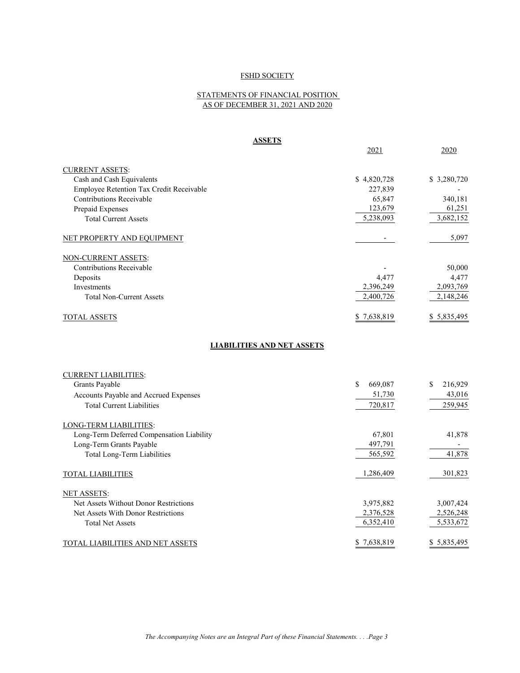## STATEMENTS OF FINANCIAL POSITION AS OF DECEMBER 31, 2021 AND 2020

| <b>ASSETS</b>                             |                |               |
|-------------------------------------------|----------------|---------------|
|                                           | 2021           | 2020          |
| <b>CURRENT ASSETS:</b>                    |                |               |
| Cash and Cash Equivalents                 | \$4,820,728    | \$3,280,720   |
| Employee Retention Tax Credit Receivable  | 227,839        |               |
| <b>Contributions Receivable</b>           | 65,847         | 340,181       |
| Prepaid Expenses                          | 123,679        | 61,251        |
| <b>Total Current Assets</b>               | 5,238,093      | 3,682,152     |
| NET PROPERTY AND EQUIPMENT                |                | 5,097         |
| NON-CURRENT ASSETS:                       |                |               |
| Contributions Receivable                  | $\overline{a}$ | 50,000        |
| Deposits                                  | 4,477          | 4,477         |
| Investments                               | 2,396,249      | 2,093,769     |
| <b>Total Non-Current Assets</b>           | 2,400,726      | 2,148,246     |
| <b>TOTAL ASSETS</b>                       | \$7,638,819    | \$5,835,495   |
| <b>LIABILITIES AND NET ASSETS</b>         |                |               |
| <b>CURRENT LIABILITIES:</b>               |                |               |
| Grants Payable                            | 669,087<br>\$  | 216,929<br>\$ |
| Accounts Payable and Accrued Expenses     | 51,730         | 43,016        |
| <b>Total Current Liabilities</b>          | 720,817        | 259,945       |
| LONG-TERM LIABILITIES:                    |                |               |
| Long-Term Deferred Compensation Liability | 67,801         | 41,878        |
| Long-Term Grants Payable                  | 497,791        |               |
| <b>Total Long-Term Liabilities</b>        | 565,592        | 41,878        |
| <b>TOTAL LIABILITIES</b>                  | 1,286,409      | 301,823       |
| NET ASSETS:                               |                |               |
| Net Assets Without Donor Restrictions     | 3,975,882      | 3,007,424     |
| Net Assets With Donor Restrictions        | 2,376,528      | 2,526,248     |
| <b>Total Net Assets</b>                   | 6,352,410      | 5,533,672     |
| <b>TOTAL LIABILITIES AND NET ASSETS</b>   | \$7,638,819    | \$5,835,495   |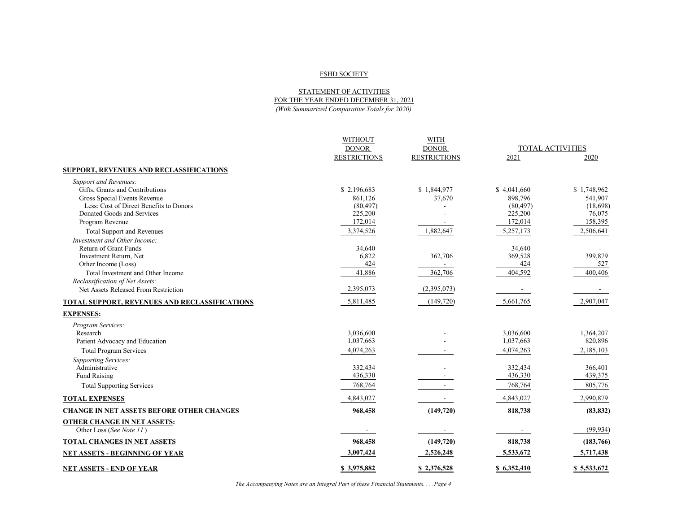## STATEMENT OF ACTIVITIES FOR THE YEAR ENDED DECEMBER 31, 2021

*(With Summarized Comparative Totals for 2020)*

|                                                         | <b>WITHOUT</b>      | <b>WITH</b>         |             |                         |
|---------------------------------------------------------|---------------------|---------------------|-------------|-------------------------|
|                                                         | <b>DONOR</b>        | <b>DONOR</b>        |             | <b>TOTAL ACTIVITIES</b> |
|                                                         | <b>RESTRICTIONS</b> | <b>RESTRICTIONS</b> | 2021        | 2020                    |
| SUPPORT, REVENUES AND RECLASSIFICATIONS                 |                     |                     |             |                         |
| Support and Revenues:                                   |                     |                     |             |                         |
| Gifts, Grants and Contributions                         | \$2,196,683         | \$1,844,977         | \$4,041,660 | \$1,748,962             |
| Gross Special Events Revenue                            | 861.126             | 37,670              | 898,796     | 541,907                 |
| Less: Cost of Direct Benefits to Donors                 | (80, 497)           |                     | (80, 497)   | (18,698)                |
| Donated Goods and Services                              | 225,200             |                     | 225,200     | 76,075                  |
| Program Revenue                                         | 172,014             |                     | 172,014     | 158,395                 |
| <b>Total Support and Revenues</b>                       | 3,374,526           | 1,882,647           | 5,257,173   | 2,506,641               |
| Investment and Other Income:                            |                     |                     |             |                         |
| Return of Grant Funds                                   | 34,640              |                     | 34,640      |                         |
| Investment Return, Net                                  | 6,822               | 362,706             | 369,528     | 399,879                 |
| Other Income (Loss)                                     | 424                 |                     | 424         | 527                     |
| Total Investment and Other Income                       | 41,886              | 362,706             | 404,592     | 400,406                 |
| Reclassification of Net Assets:                         |                     |                     |             |                         |
| Net Assets Released From Restriction                    | 2,395,073           | (2,395,073)         |             |                         |
| <b>TOTAL SUPPORT, REVENUES AND RECLASSIFICATIONS</b>    | 5,811,485           | (149, 720)          | 5,661,765   | 2,907,047               |
| <b>EXPENSES:</b>                                        |                     |                     |             |                         |
| Program Services:                                       |                     |                     |             |                         |
| Research                                                | 3,036,600           |                     | 3,036,600   | 1,364,207               |
| Patient Advocacy and Education                          | 1,037,663           |                     | 1,037,663   | 820,896                 |
| <b>Total Program Services</b>                           | 4,074,263           | $\sim$              | 4,074,263   | 2,185,103               |
| <b>Supporting Services:</b>                             |                     |                     |             |                         |
| Administrative                                          | 332,434             |                     | 332,434     | 366,401                 |
| <b>Fund Raising</b>                                     | 436,330             |                     | 436,330     | 439,375                 |
| <b>Total Supporting Services</b>                        | 768,764             |                     | 768,764     | 805,776                 |
| <b>TOTAL EXPENSES</b>                                   | 4,843,027           |                     | 4,843,027   | 2,990,879               |
| <b>CHANGE IN NET ASSETS BEFORE OTHER CHANGES</b>        | 968,458             | (149, 720)          | 818,738     | (83, 832)               |
| OTHER CHANGE IN NET ASSETS:<br>Other Loss (See Note 11) |                     | $\sim$              |             | (99, 934)               |
| <b>TOTAL CHANGES IN NET ASSETS</b>                      | 968,458             | (149, 720)          | 818,738     | (183, 766)              |
| <b>NET ASSETS - BEGINNING OF YEAR</b>                   | 3,007,424           | 2,526,248           | 5,533,672   | 5,717,438               |
| <b>NET ASSETS - END OF YEAR</b>                         | \$3,975,882         | \$2,376,528         | \$6,352,410 | \$5,533,672             |
|                                                         |                     |                     |             |                         |

*The Accompanying Notes are an Integral Part of these Financial Statements. . . .Page 4*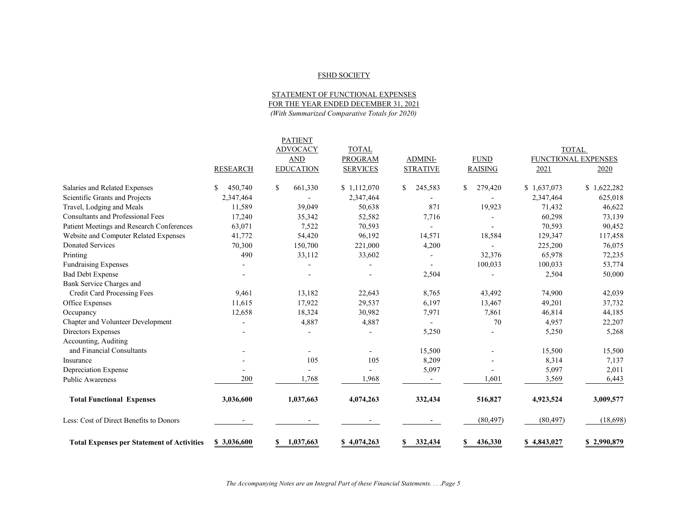## STATEMENT OF FUNCTIONAL EXPENSES FOR THE YEAR ENDED DECEMBER 31, 2021

*(With Summarized Comparative Totals for 2020)*

| <b>Total Expenses per Statement of Activities</b>              | \$3,036,600     | 1,037,663<br>\$          | \$4,074,263     | 332,434                  | \$<br>436,330  | \$4,843,027 | \$2,990,879                |
|----------------------------------------------------------------|-----------------|--------------------------|-----------------|--------------------------|----------------|-------------|----------------------------|
| Less: Cost of Direct Benefits to Donors                        |                 |                          |                 |                          | (80, 497)      | (80, 497)   | (18,698)                   |
| <b>Total Functional Expenses</b>                               | 3,036,600       | 1,037,663                | 4,074,263       | 332,434                  | 516,827        | 4,923,524   | 3,009,577                  |
| <b>Public Awareness</b>                                        | 200             | 1,768                    | 1,968           |                          | 1,601          | 3,569       | 6,443                      |
| Depreciation Expense                                           |                 |                          | $\overline{a}$  | 5,097                    | $\overline{a}$ | 5,097       | 2,011                      |
| Insurance                                                      |                 | 105                      | 105             | 8,209                    |                | 8,314       | 7,137                      |
| and Financial Consultants                                      |                 |                          |                 | 15,500                   |                | 15,500      | 15,500                     |
| Accounting, Auditing                                           |                 |                          |                 |                          |                |             |                            |
| Directors Expenses                                             |                 |                          |                 | 5,250                    |                | 5,250       | 5,268                      |
| Chapter and Volunteer Development                              |                 | 4,887                    | 4,887           | $\overline{\phantom{a}}$ | 70             | 4,957       | 22,207                     |
| Occupancy                                                      | 12,658          | 18,324                   | 30,982          | 7,971                    | 7,861          | 46,814      | 44,185                     |
| Office Expenses                                                | 11,615          | 17,922                   | 29,537          | 6,197                    | 13,467         | 49,201      | 37,732                     |
| Bank Service Charges and<br><b>Credit Card Processing Fees</b> | 9,461           | 13,182                   | 22,643          | 8,765                    | 43,492         | 74,900      | 42,039                     |
| <b>Bad Debt Expense</b>                                        |                 |                          |                 | 2,504                    |                | 2,504       | 50,000                     |
| <b>Fundraising Expenses</b>                                    |                 |                          |                 | $\blacksquare$           | 100,033        | 100,033     | 53,774                     |
| Printing                                                       | 490             | 33,112                   | 33,602          |                          | 32,376         | 65,978      | 72,235                     |
| <b>Donated Services</b>                                        | 70,300          | 150,700                  | 221,000         | 4,200                    | $\overline{a}$ | 225,200     | 76,075                     |
| Website and Computer Related Expenses                          | 41,772          | 54,420                   | 96,192          | 14,571                   | 18,584         | 129,347     | 117,458                    |
| Patient Meetings and Research Conferences                      | 63,071          | 7,522                    | 70,593          |                          |                | 70,593      | 90,452                     |
| <b>Consultants and Professional Fees</b>                       | 17,240          | 35,342                   | 52,582          | 7,716                    |                | 60,298      | 73,139                     |
| Travel, Lodging and Meals                                      | 11,589          | 39,049                   | 50,638          | 871                      | 19,923         | 71,432      | 46,622                     |
| Scientific Grants and Projects                                 | 2,347,464       |                          | 2,347,464       |                          |                | 2,347,464   | 625,018                    |
| Salaries and Related Expenses                                  | 450,740         | <sup>\$</sup><br>661,330 | \$1,112,070     | 245,583<br>\$.           | \$<br>279,420  | \$1,637,073 | \$1,622,282                |
|                                                                | <b>RESEARCH</b> | <b>EDUCATION</b>         | <b>SERVICES</b> | <b>STRATIVE</b>          | <b>RAISING</b> | 2021        | 2020                       |
|                                                                |                 | <b>AND</b>               | <b>PROGRAM</b>  | ADMINI-                  | <b>FUND</b>    |             | <b>FUNCTIONAL EXPENSES</b> |
|                                                                |                 | <b>ADVOCACY</b>          | <b>TOTAL</b>    |                          |                |             | <b>TOTAL</b>               |
|                                                                |                 | <b>PATIENT</b>           |                 |                          |                |             |                            |

*The Accompanying Notes are an Integral Part of these Financial Statements. . . .Page 5*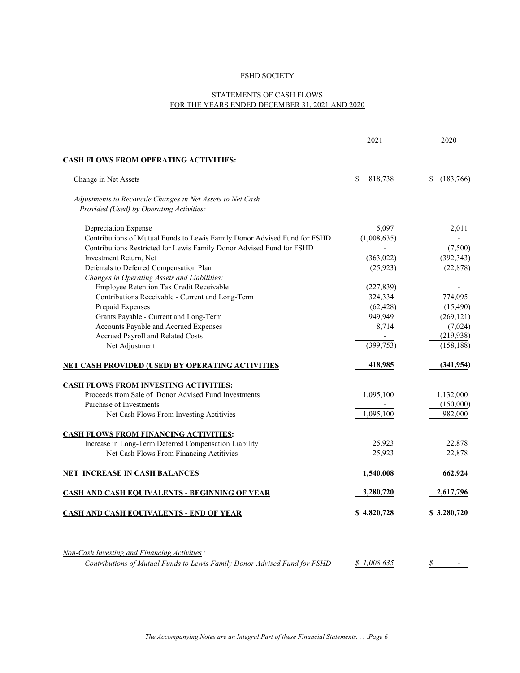## STATEMENTS OF CASH FLOWS FOR THE YEARS ENDED DECEMBER 31, 2021 AND 2020

|                                                                                                                                  | 2021          | 2020            |
|----------------------------------------------------------------------------------------------------------------------------------|---------------|-----------------|
| <b>CASH FLOWS FROM OPERATING ACTIVITIES:</b>                                                                                     |               |                 |
| Change in Net Assets                                                                                                             | \$<br>818,738 | (183,766)<br>\$ |
| Adjustments to Reconcile Changes in Net Assets to Net Cash<br>Provided (Used) by Operating Activities:                           |               |                 |
| Depreciation Expense                                                                                                             | 5,097         | 2,011           |
| Contributions of Mutual Funds to Lewis Family Donor Advised Fund for FSHD                                                        | (1,008,635)   |                 |
| Contributions Restricted for Lewis Family Donor Advised Fund for FSHD                                                            |               | (7,500)         |
| Investment Return, Net                                                                                                           | (363, 022)    | (392, 343)      |
| Deferrals to Deferred Compensation Plan                                                                                          | (25, 923)     | (22, 878)       |
| Changes in Operating Assets and Liabilities:                                                                                     |               |                 |
| Employee Retention Tax Credit Receivable                                                                                         | (227, 839)    |                 |
| Contributions Receivable - Current and Long-Term                                                                                 | 324,334       | 774,095         |
| Prepaid Expenses                                                                                                                 | (62, 428)     | (15, 490)       |
| Grants Payable - Current and Long-Term                                                                                           | 949,949       | (269, 121)      |
| Accounts Payable and Accrued Expenses                                                                                            | 8,714         | (7,024)         |
| Accrued Payroll and Related Costs                                                                                                |               | (219, 938)      |
| Net Adjustment                                                                                                                   | (399, 753)    | (158, 188)      |
| NET CASH PROVIDED (USED) BY OPERATING ACTIVITIES                                                                                 | 418,985       | (341, 954)      |
| <b>CASH FLOWS FROM INVESTING ACTIVITIES:</b>                                                                                     |               |                 |
| Proceeds from Sale of Donor Advised Fund Investments                                                                             | 1,095,100     | 1,132,000       |
| Purchase of Investments                                                                                                          |               | (150,000)       |
| Net Cash Flows From Investing Actitivies                                                                                         | 1,095,100     | 982,000         |
| <b>CASH FLOWS FROM FINANCING ACTIVITIES:</b>                                                                                     |               |                 |
| Increase in Long-Term Deferred Compensation Liability                                                                            | 25,923        | 22,878          |
| Net Cash Flows From Financing Actitivies                                                                                         | 25,923        | 22,878          |
|                                                                                                                                  |               |                 |
| <b>NET INCREASE IN CASH BALANCES</b>                                                                                             | 1,540,008     | 662,924         |
| <b>CASH AND CASH EQUIVALENTS - BEGINNING OF YEAR</b>                                                                             | 3,280,720     | 2,617,796       |
| <u>CASH AND CASH EQUIVALENTS - END OF YEAR</u>                                                                                   | \$4,820,728   | \$3,280,720     |
| <b>Non-Cash Investing and Financing Activities:</b><br>Contributions of Mutual Funds to Lewis Family Donor Advised Fund for FSHD | \$1,008,635   | \$              |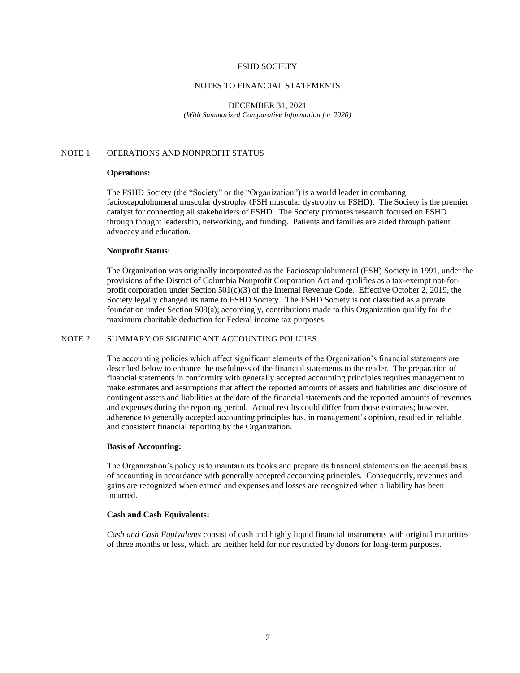## NOTES TO FINANCIAL STATEMENTS

#### DECEMBER 31, 2021 *(With Summarized Comparative Information for 2020)*

## NOTE 1 OPERATIONS AND NONPROFIT STATUS

## **Operations:**

The FSHD Society (the "Society" or the "Organization") is a world leader in combating facioscapulohumeral muscular dystrophy (FSH muscular dystrophy or FSHD). The Society is the premier catalyst for connecting all stakeholders of FSHD. The Society promotes research focused on FSHD through thought leadership, networking, and funding. Patients and families are aided through patient advocacy and education.

#### **Nonprofit Status:**

The Organization was originally incorporated as the Facioscapulohumeral (FSH) Society in 1991, under the provisions of the District of Columbia Nonprofit Corporation Act and qualifies as a tax-exempt not-forprofit corporation under Section 501(c)(3) of the Internal Revenue Code. Effective October 2, 2019, the Society legally changed its name to FSHD Society. The FSHD Society is not classified as a private foundation under Section 509(a); accordingly, contributions made to this Organization qualify for the maximum charitable deduction for Federal income tax purposes.

#### NOTE 2 SUMMARY OF SIGNIFICANT ACCOUNTING POLICIES

The accounting policies which affect significant elements of the Organization's financial statements are described below to enhance the usefulness of the financial statements to the reader. The preparation of financial statements in conformity with generally accepted accounting principles requires management to make estimates and assumptions that affect the reported amounts of assets and liabilities and disclosure of contingent assets and liabilities at the date of the financial statements and the reported amounts of revenues and expenses during the reporting period. Actual results could differ from those estimates; however, adherence to generally accepted accounting principles has, in management's opinion, resulted in reliable and consistent financial reporting by the Organization.

#### **Basis of Accounting:**

The Organization's policy is to maintain its books and prepare its financial statements on the accrual basis of accounting in accordance with generally accepted accounting principles. Consequently, revenues and gains are recognized when earned and expenses and losses are recognized when a liability has been incurred.

#### **Cash and Cash Equivalents:**

*Cash and Cash Equivalents* consist of cash and highly liquid financial instruments with original maturities of three months or less, which are neither held for nor restricted by donors for long-term purposes.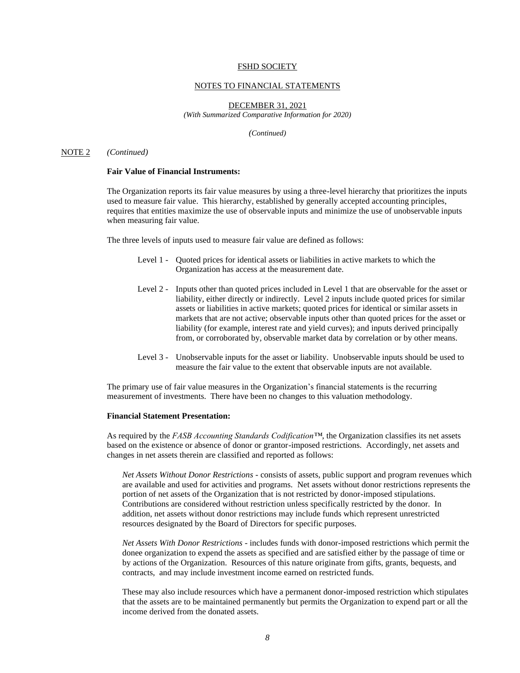#### NOTES TO FINANCIAL STATEMENTS

DECEMBER 31, 2021 *(With Summarized Comparative Information for 2020)*

*(Continued)*

#### NOTE 2 *(Continued)*

#### **Fair Value of Financial Instruments:**

The Organization reports its fair value measures by using a three-level hierarchy that prioritizes the inputs used to measure fair value. This hierarchy, established by generally accepted accounting principles, requires that entities maximize the use of observable inputs and minimize the use of unobservable inputs when measuring fair value.

The three levels of inputs used to measure fair value are defined as follows:

- Level 1 Quoted prices for identical assets or liabilities in active markets to which the Organization has access at the measurement date.
- Level 2 Inputs other than quoted prices included in Level 1 that are observable for the asset or liability, either directly or indirectly. Level 2 inputs include quoted prices for similar assets or liabilities in active markets; quoted prices for identical or similar assets in markets that are not active; observable inputs other than quoted prices for the asset or liability (for example, interest rate and yield curves); and inputs derived principally from, or corroborated by, observable market data by correlation or by other means.
- Level 3 Unobservable inputs for the asset or liability. Unobservable inputs should be used to measure the fair value to the extent that observable inputs are not available.

The primary use of fair value measures in the Organization's financial statements is the recurring measurement of investments. There have been no changes to this valuation methodology.

#### **Financial Statement Presentation:**

As required by the *FASB Accounting Standards Codification™*, the Organization classifies its net assets based on the existence or absence of donor or grantor-imposed restrictions. Accordingly, net assets and changes in net assets therein are classified and reported as follows:

*Net Assets Without Donor Restrictions* - consists of assets, public support and program revenues which are available and used for activities and programs. Net assets without donor restrictions represents the portion of net assets of the Organization that is not restricted by donor-imposed stipulations. Contributions are considered without restriction unless specifically restricted by the donor. In addition, net assets without donor restrictions may include funds which represent unrestricted resources designated by the Board of Directors for specific purposes.

*Net Assets With Donor Restrictions* - includes funds with donor-imposed restrictions which permit the donee organization to expend the assets as specified and are satisfied either by the passage of time or by actions of the Organization. Resources of this nature originate from gifts, grants, bequests, and contracts, and may include investment income earned on restricted funds.

These may also include resources which have a permanent donor-imposed restriction which stipulates that the assets are to be maintained permanently but permits the Organization to expend part or all the income derived from the donated assets.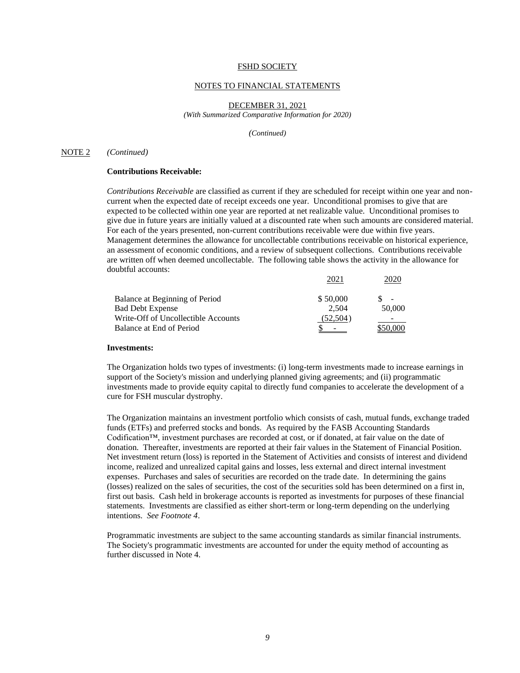#### NOTES TO FINANCIAL STATEMENTS

DECEMBER 31, 2021

*(With Summarized Comparative Information for 2020)*

*(Continued)*

#### NOTE 2 *(Continued)*

#### **Contributions Receivable:**

*Contributions Receivable* are classified as current if they are scheduled for receipt within one year and noncurrent when the expected date of receipt exceeds one year. Unconditional promises to give that are expected to be collected within one year are reported at net realizable value. Unconditional promises to give due in future years are initially valued at a discounted rate when such amounts are considered material. For each of the years presented, non-current contributions receivable were due within five years. Management determines the allowance for uncollectable contributions receivable on historical experience, an assessment of economic conditions, and a review of subsequent collections. Contributions receivable are written off when deemed uncollectable. The following table shows the activity in the allowance for doubtful accounts:

| Balance at Beginning of Period      | \$50,000 | $\sim$ |
|-------------------------------------|----------|--------|
| <b>Bad Debt Expense</b>             | 2.504    | 50,000 |
| Write-Off of Uncollectible Accounts | (52,504) |        |
| Balance at End of Period            |          |        |

#### **Investments:**

The Organization holds two types of investments: (i) long-term investments made to increase earnings in support of the Society's mission and underlying planned giving agreements; and (ii) programmatic investments made to provide equity capital to directly fund companies to accelerate the development of a cure for FSH muscular dystrophy.

The Organization maintains an investment portfolio which consists of cash, mutual funds, exchange traded funds (ETFs) and preferred stocks and bonds. As required by the FASB Accounting Standards Codification™, investment purchases are recorded at cost, or if donated, at fair value on the date of donation. Thereafter, investments are reported at their fair values in the Statement of Financial Position. Net investment return (loss) is reported in the Statement of Activities and consists of interest and dividend income, realized and unrealized capital gains and losses, less external and direct internal investment expenses. Purchases and sales of securities are recorded on the trade date. In determining the gains (losses) realized on the sales of securities, the cost of the securities sold has been determined on a first in, first out basis. Cash held in brokerage accounts is reported as investments for purposes of these financial statements. Investments are classified as either short-term or long-term depending on the underlying intentions. *See Footnote 4*.

Programmatic investments are subject to the same accounting standards as similar financial instruments. The Society's programmatic investments are accounted for under the equity method of accounting as further discussed in Note 4.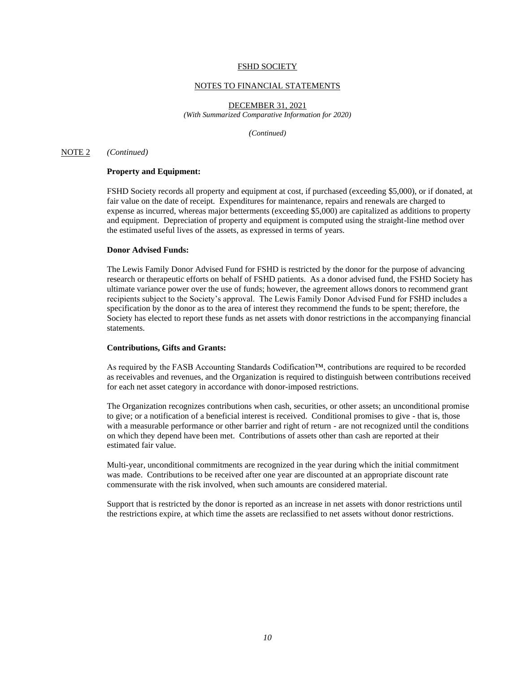#### NOTES TO FINANCIAL STATEMENTS

DECEMBER 31, 2021 *(With Summarized Comparative Information for 2020)*

*(Continued)*

#### NOTE 2 *(Continued)*

#### **Property and Equipment:**

FSHD Society records all property and equipment at cost, if purchased (exceeding \$5,000), or if donated, at fair value on the date of receipt. Expenditures for maintenance, repairs and renewals are charged to expense as incurred, whereas major betterments (exceeding \$5,000) are capitalized as additions to property and equipment. Depreciation of property and equipment is computed using the straight-line method over the estimated useful lives of the assets, as expressed in terms of years.

#### **Donor Advised Funds:**

The Lewis Family Donor Advised Fund for FSHD is restricted by the donor for the purpose of advancing research or therapeutic efforts on behalf of FSHD patients. As a donor advised fund, the FSHD Society has ultimate variance power over the use of funds; however, the agreement allows donors to recommend grant recipients subject to the Society's approval. The Lewis Family Donor Advised Fund for FSHD includes a specification by the donor as to the area of interest they recommend the funds to be spent; therefore, the Society has elected to report these funds as net assets with donor restrictions in the accompanying financial statements.

## **Contributions, Gifts and Grants:**

As required by the FASB Accounting Standards Codification™, contributions are required to be recorded as receivables and revenues, and the Organization is required to distinguish between contributions received for each net asset category in accordance with donor-imposed restrictions.

The Organization recognizes contributions when cash, securities, or other assets; an unconditional promise to give; or a notification of a beneficial interest is received. Conditional promises to give - that is, those with a measurable performance or other barrier and right of return - are not recognized until the conditions on which they depend have been met. Contributions of assets other than cash are reported at their estimated fair value.

Multi-year, unconditional commitments are recognized in the year during which the initial commitment was made. Contributions to be received after one year are discounted at an appropriate discount rate commensurate with the risk involved, when such amounts are considered material.

Support that is restricted by the donor is reported as an increase in net assets with donor restrictions until the restrictions expire, at which time the assets are reclassified to net assets without donor restrictions.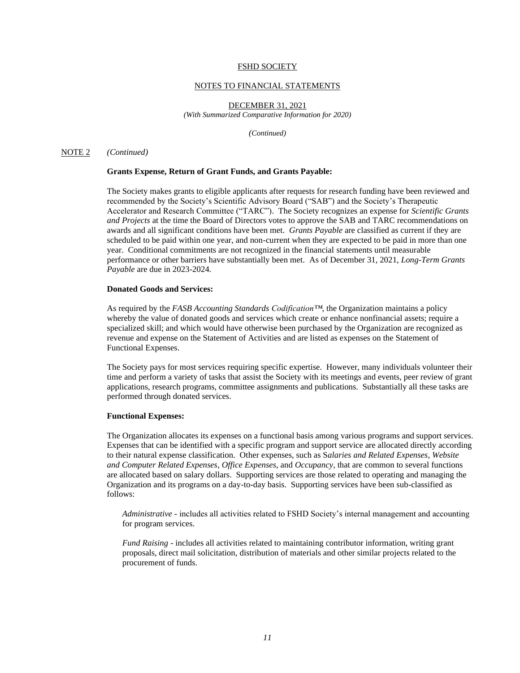#### NOTES TO FINANCIAL STATEMENTS

DECEMBER 31, 2021 *(With Summarized Comparative Information for 2020)*

*(Continued)*

#### NOTE 2 *(Continued)*

#### **Grants Expense, Return of Grant Funds, and Grants Payable:**

The Society makes grants to eligible applicants after requests for research funding have been reviewed and recommended by the Society's Scientific Advisory Board ("SAB") and the Society's Therapeutic Accelerator and Research Committee ("TARC"). The Society recognizes an expense for *Scientific Grants and Projects* at the time the Board of Directors votes to approve the SAB and TARC recommendations on awards and all significant conditions have been met. *Grants Payable* are classified as current if they are scheduled to be paid within one year, and non-current when they are expected to be paid in more than one year. Conditional commitments are not recognized in the financial statements until measurable performance or other barriers have substantially been met. As of December 31, 2021, *Long-Term Grants Payable* are due in 2023-2024.

#### **Donated Goods and Services:**

As required by the *FASB Accounting Standards Codification™*, the Organization maintains a policy whereby the value of donated goods and services which create or enhance nonfinancial assets; require a specialized skill; and which would have otherwise been purchased by the Organization are recognized as revenue and expense on the Statement of Activities and are listed as expenses on the Statement of Functional Expenses.

The Society pays for most services requiring specific expertise. However, many individuals volunteer their time and perform a variety of tasks that assist the Society with its meetings and events, peer review of grant applications, research programs, committee assignments and publications. Substantially all these tasks are performed through donated services.

#### **Functional Expenses:**

The Organization allocates its expenses on a functional basis among various programs and support services. Expenses that can be identified with a specific program and support service are allocated directly according to their natural expense classification. Other expenses, such as S*alaries and Related Expenses*, *Website and Computer Related Expenses*, *Office Expenses*, and *Occupancy*, that are common to several functions are allocated based on salary dollars. Supporting services are those related to operating and managing the Organization and its programs on a day-to-day basis. Supporting services have been sub-classified as follows:

*Administrative* - includes all activities related to FSHD Society's internal management and accounting for program services.

*Fund Raising* - includes all activities related to maintaining contributor information, writing grant proposals, direct mail solicitation, distribution of materials and other similar projects related to the procurement of funds.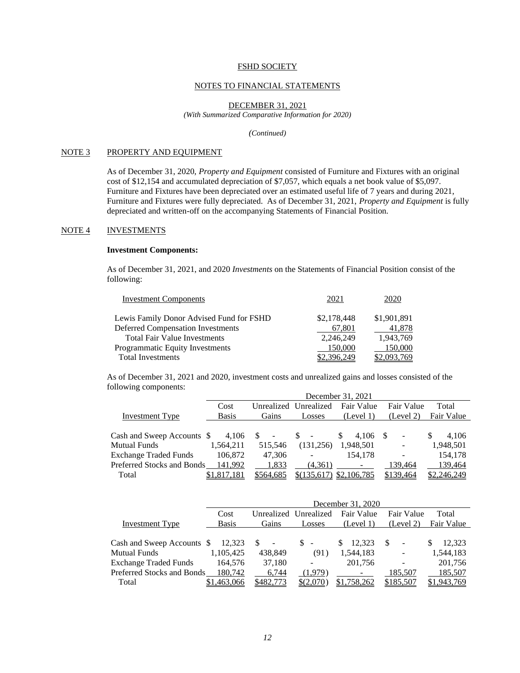#### NOTES TO FINANCIAL STATEMENTS

#### DECEMBER 31, 2021

*(With Summarized Comparative Information for 2020)*

*(Continued)*

#### NOTE 3 PROPERTY AND EQUIPMENT

As of December 31, 2020, *Property and Equipment* consisted of Furniture and Fixtures with an original cost of \$12,154 and accumulated depreciation of \$7,057, which equals a net book value of \$5,097. Furniture and Fixtures have been depreciated over an estimated useful life of 7 years and during 2021, Furniture and Fixtures were fully depreciated. As of December 31, 2021, *Property and Equipment* is fully depreciated and written-off on the accompanying Statements of Financial Position*.*

#### NOTE 4 INVESTMENTS

#### **Investment Components:**

As of December 31, 2021, and 2020 *Investments* on the Statements of Financial Position consist of the following:

| <b>Investment Components</b>             | 2021        | 2020        |
|------------------------------------------|-------------|-------------|
| Lewis Family Donor Advised Fund for FSHD | \$2,178,448 | \$1,901,891 |
| <b>Deferred Compensation Investments</b> | 67,801      | 41,878      |
| <b>Total Fair Value Investments</b>      | 2.246.249   | 1,943,769   |
| Programmatic Equity Investments          | 150,000     | 150,000     |
| <b>Total Investments</b>                 | \$2,396,249 | \$2,093,769 |

As of December 31, 2021 and 2020, investment costs and unrealized gains and losses consisted of the following components:

|                              | December 31, 2021 |              |                          |                  |                          |             |
|------------------------------|-------------------|--------------|--------------------------|------------------|--------------------------|-------------|
|                              | Cost              | Unrealized   | Unrealized               | Fair Value       | Fair Value               | Total       |
| Investment Type              | <b>Basis</b>      | Gains        | Losses                   | (Level 1)        | (Level 2)                | Fair Value  |
|                              |                   |              |                          |                  |                          |             |
| Cash and Sweep Accounts \$   | 4,106             | -8<br>$\sim$ | $\sim$                   | $4.106$ \$<br>S  | $\overline{\phantom{0}}$ | 4.106<br>S  |
| Mutual Funds                 | 1,564,211         | 515.546      | (131.256)                | 1,948,501        | -                        | 1,948,501   |
| <b>Exchange Traded Funds</b> | 106,872           | 47,306       |                          | 154.178          | ۰                        | 154,178     |
| Preferred Stocks and Bonds   | 141,992           | 1,833        | (4.361)                  | $\sim$ 100 $\pm$ | 139.464                  | 139,464     |
| Total                        | \$1,817,181       | \$564,685    | $$(135,617)$ \$2,106,785 |                  | \$139,464                | \$2,246,249 |
|                              |                   |              |                          |                  |                          |             |

|                              | December 31, 2020 |                                 |                       |              |                                |             |
|------------------------------|-------------------|---------------------------------|-----------------------|--------------|--------------------------------|-------------|
|                              | Cost              |                                 | Unrealized Unrealized | Fair Value   | Fair Value                     | Total       |
| Investment Type              | <b>Basis</b>      | Gains                           | Losses                | (Level 1)    | (Level 2)                      | Fair Value  |
|                              |                   |                                 |                       |              |                                |             |
| Cash and Sweep Accounts \$   | 12,323            | - S<br>$\overline{\phantom{a}}$ | $S =$                 | 12.323<br>S. | -S<br>$\overline{\phantom{0}}$ | 12.323<br>S |
| <b>Mutual Funds</b>          | 1,105,425         | 438,849                         | (91)                  | 1,544,183    | $\overline{\phantom{a}}$       | 1,544,183   |
| <b>Exchange Traded Funds</b> | 164,576           | 37,180                          |                       | 201,756      | -                              | 201,756     |
| Preferred Stocks and Bonds   | 180,742           | 6,744                           | (1.979)               |              | 185,507                        | 185,507     |
| Total                        | .463,066          | \$482.773                       | \$(2,070              | \$1,758,262  | \$185,507                      | \$1,943,769 |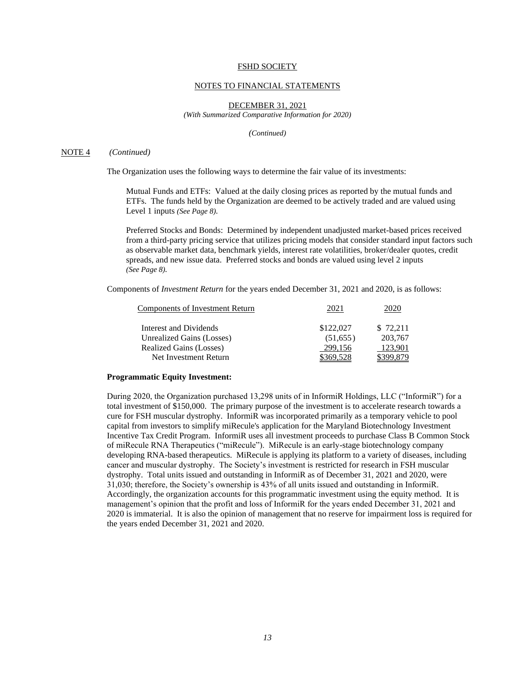#### NOTES TO FINANCIAL STATEMENTS

#### DECEMBER 31, 2021

*(With Summarized Comparative Information for 2020)*

*(Continued)*

#### NOTE 4 *(Continued)*

The Organization uses the following ways to determine the fair value of its investments:

Mutual Funds and ETFs: Valued at the daily closing prices as reported by the mutual funds and ETFs. The funds held by the Organization are deemed to be actively traded and are valued using Level 1 inputs *(See Page 8).*

Preferred Stocks and Bonds: Determined by independent unadjusted market-based prices received from a third-party pricing service that utilizes pricing models that consider standard input factors such as observable market data, benchmark yields, interest rate volatilities, broker/dealer quotes, credit spreads, and new issue data. Preferred stocks and bonds are valued using level 2 inputs *(See Page 8).*

Components of *Investment Return* for the years ended December 31, 2021 and 2020, is as follows:

| Components of Investment Return | 2021      |          |
|---------------------------------|-----------|----------|
| Interest and Dividends          | \$122,027 | \$72.211 |
| Unrealized Gains (Losses)       | (51,655)  | 203,767  |
| Realized Gains (Losses)         | 299.156   | 123.901  |
| Net Investment Return           | 369.528   |          |

#### **Programmatic Equity Investment:**

During 2020, the Organization purchased 13,298 units of in InformiR Holdings, LLC ("InformiR") for a total investment of \$150,000. The primary purpose of the investment is to accelerate research towards a cure for FSH muscular dystrophy. InformiR was incorporated primarily as a temporary vehicle to pool capital from investors to simplify miRecule's application for the Maryland Biotechnology Investment Incentive Tax Credit Program. InformiR uses all investment proceeds to purchase Class B Common Stock of miRecule RNA Therapeutics ("miRecule"). MiRecule is an early-stage biotechnology company developing RNA-based therapeutics. MiRecule is applying its platform to a variety of diseases, including cancer and muscular dystrophy. The Society's investment is restricted for research in FSH muscular dystrophy. Total units issued and outstanding in InformiR as of December 31, 2021 and 2020, were 31,030; therefore, the Society's ownership is 43% of all units issued and outstanding in InformiR. Accordingly, the organization accounts for this programmatic investment using the equity method. It is management's opinion that the profit and loss of InformiR for the years ended December 31, 2021 and 2020 is immaterial. It is also the opinion of management that no reserve for impairment loss is required for the years ended December 31, 2021 and 2020.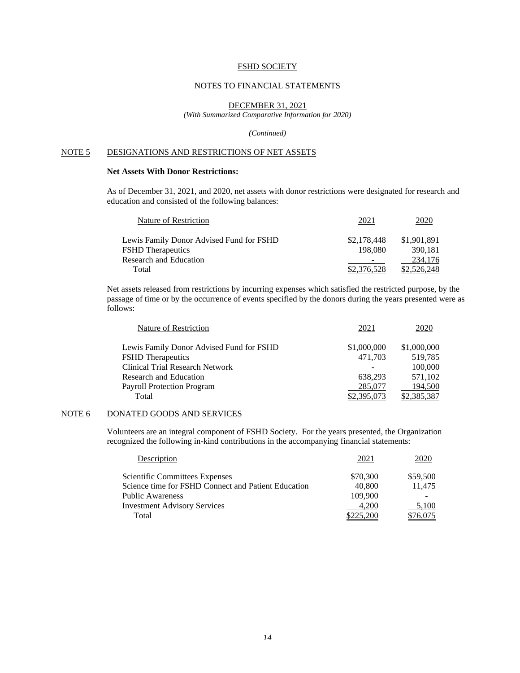#### NOTES TO FINANCIAL STATEMENTS

#### DECEMBER 31, 2021

*(With Summarized Comparative Information for 2020)*

#### *(Continued)*

## NOTE 5 DESIGNATIONS AND RESTRICTIONS OF NET ASSETS

#### **Net Assets With Donor Restrictions:**

As of December 31, 2021, and 2020, net assets with donor restrictions were designated for research and education and consisted of the following balances:

| Nature of Restriction                    | 2021        | 2020        |
|------------------------------------------|-------------|-------------|
| Lewis Family Donor Advised Fund for FSHD | \$2,178,448 | \$1,901,891 |
| <b>FSHD</b> Therapeutics                 | 198.080     | 390.181     |
| <b>Research and Education</b>            |             | 234.176     |
| Total                                    | \$2,376,528 | \$2,526,248 |

Net assets released from restrictions by incurring expenses which satisfied the restricted purpose, by the passage of time or by the occurrence of events specified by the donors during the years presented were as follows:

| \$1,000,000<br>Lewis Family Donor Advised Fund for FSHD | \$1,000,000 |
|---------------------------------------------------------|-------------|
| <b>FSHD</b> Therapeutics<br>471,703                     | 519,785     |
| <b>Clinical Trial Research Network</b>                  | 100,000     |
| Research and Education<br>638.293                       | 571,102     |
| <b>Payroll Protection Program</b><br>285,077            | 194,500     |
| \$2,395,073<br>Total                                    | \$2,385,387 |

#### NOTE 6 DONATED GOODS AND SERVICES

Volunteers are an integral component of FSHD Society. For the years presented, the Organization recognized the following in-kind contributions in the accompanying financial statements:

| Description                                         | 2021     | 2020     |
|-----------------------------------------------------|----------|----------|
| Scientific Committees Expenses                      | \$70,300 | \$59,500 |
| Science time for FSHD Connect and Patient Education | 40,800   | 11.475   |
| Public Awareness                                    | 109.900  |          |
| <b>Investment Advisory Services</b>                 | 4.200    | 5,100    |
| Total                                               | 225.200  | 16.075   |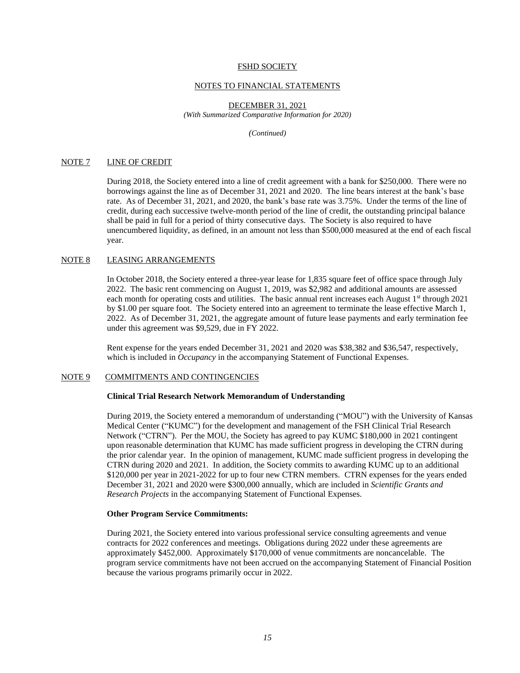#### NOTES TO FINANCIAL STATEMENTS

DECEMBER 31, 2021 *(With Summarized Comparative Information for 2020)*

*(Continued)*

#### NOTE 7 LINE OF CREDIT

During 2018, the Society entered into a line of credit agreement with a bank for \$250,000. There were no borrowings against the line as of December 31, 2021 and 2020. The line bears interest at the bank's base rate. As of December 31, 2021, and 2020, the bank's base rate was 3.75%. Under the terms of the line of credit, during each successive twelve-month period of the line of credit, the outstanding principal balance shall be paid in full for a period of thirty consecutive days. The Society is also required to have unencumbered liquidity, as defined, in an amount not less than \$500,000 measured at the end of each fiscal year.

#### NOTE 8 LEASING ARRANGEMENTS

In October 2018, the Society entered a three-year lease for 1,835 square feet of office space through July 2022. The basic rent commencing on August 1, 2019, was \$2,982 and additional amounts are assessed each month for operating costs and utilities. The basic annual rent increases each August  $1<sup>st</sup>$  through 2021 by \$1.00 per square foot. The Society entered into an agreement to terminate the lease effective March 1, 2022. As of December 31, 2021, the aggregate amount of future lease payments and early termination fee under this agreement was \$9,529, due in FY 2022.

Rent expense for the years ended December 31, 2021 and 2020 was \$38,382 and \$36,547, respectively, which is included in *Occupancy* in the accompanying Statement of Functional Expenses.

#### NOTE 9 COMMITMENTS AND CONTINGENCIES

## **Clinical Trial Research Network Memorandum of Understanding**

During 2019, the Society entered a memorandum of understanding ("MOU") with the University of Kansas Medical Center ("KUMC") for the development and management of the FSH Clinical Trial Research Network ("CTRN"). Per the MOU, the Society has agreed to pay KUMC \$180,000 in 2021 contingent upon reasonable determination that KUMC has made sufficient progress in developing the CTRN during the prior calendar year. In the opinion of management, KUMC made sufficient progress in developing the CTRN during 2020 and 2021. In addition, the Society commits to awarding KUMC up to an additional \$120,000 per year in 2021-2022 for up to four new CTRN members. CTRN expenses for the years ended December 31, 2021 and 2020 were \$300,000 annually, which are included in *Scientific Grants and Research Projects* in the accompanying Statement of Functional Expenses.

#### **Other Program Service Commitments:**

During 2021, the Society entered into various professional service consulting agreements and venue contracts for 2022 conferences and meetings. Obligations during 2022 under these agreements are approximately \$452,000. Approximately \$170,000 of venue commitments are noncancelable. The program service commitments have not been accrued on the accompanying Statement of Financial Position because the various programs primarily occur in 2022.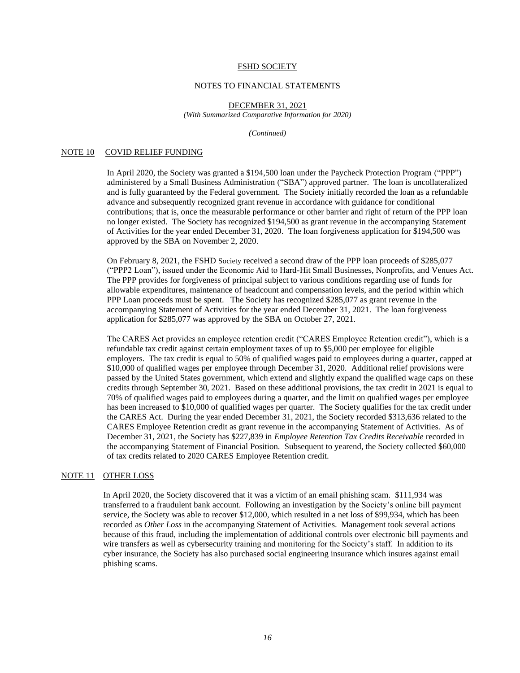#### NOTES TO FINANCIAL STATEMENTS

# DECEMBER 31, 2021

*(With Summarized Comparative Information for 2020)*

*(Continued)*

#### NOTE 10 COVID RELIEF FUNDING

In April 2020, the Society was granted a \$194,500 loan under the Paycheck Protection Program ("PPP") administered by a Small Business Administration ("SBA") approved partner. The loan is uncollateralized and is fully guaranteed by the Federal government. The Society initially recorded the loan as a refundable advance and subsequently recognized grant revenue in accordance with guidance for conditional contributions; that is, once the measurable performance or other barrier and right of return of the PPP loan no longer existed. The Society has recognized \$194,500 as grant revenue in the accompanying Statement of Activities for the year ended December 31, 2020. The loan forgiveness application for \$194,500 was approved by the SBA on November 2, 2020.

On February 8, 2021, the FSHD Society received a second draw of the PPP loan proceeds of \$285,077 ("PPP2 Loan"), issued under the Economic Aid to Hard-Hit Small Businesses, Nonprofits, and Venues Act. The PPP provides for forgiveness of principal subject to various conditions regarding use of funds for allowable expenditures, maintenance of headcount and compensation levels, and the period within which PPP Loan proceeds must be spent. The Society has recognized \$285,077 as grant revenue in the accompanying Statement of Activities for the year ended December 31, 2021. The loan forgiveness application for \$285,077 was approved by the SBA on October 27, 2021.

The CARES Act provides an employee retention credit ("CARES Employee Retention credit"), which is a refundable tax credit against certain employment taxes of up to \$5,000 per employee for eligible employers. The tax credit is equal to 50% of qualified wages paid to employees during a quarter, capped at \$10,000 of qualified wages per employee through December 31, 2020. Additional relief provisions were passed by the United States government, which extend and slightly expand the qualified wage caps on these credits through September 30, 2021. Based on these additional provisions, the tax credit in 2021 is equal to 70% of qualified wages paid to employees during a quarter, and the limit on qualified wages per employee has been increased to \$10,000 of qualified wages per quarter. The Society qualifies for the tax credit under the CARES Act. During the year ended December 31, 2021, the Society recorded \$313,636 related to the CARES Employee Retention credit as grant revenue in the accompanying Statement of Activities*.* As of December 31, 2021, the Society has \$227,839 in *Employee Retention Tax Credits Receivable* recorded in the accompanying Statement of Financial Position*.* Subsequent to yearend, the Society collected \$60,000 of tax credits related to 2020 CARES Employee Retention credit.

## NOTE 11 OTHER LOSS

In April 2020, the Society discovered that it was a victim of an email phishing scam. \$111,934 was transferred to a fraudulent bank account. Following an investigation by the Society's online bill payment service, the Society was able to recover \$12,000, which resulted in a net loss of \$99,934, which has been recorded as *Other Loss* in the accompanying Statement of Activities. Management took several actions because of this fraud, including the implementation of additional controls over electronic bill payments and wire transfers as well as cybersecurity training and monitoring for the Society's staff. In addition to its cyber insurance, the Society has also purchased social engineering insurance which insures against email phishing scams.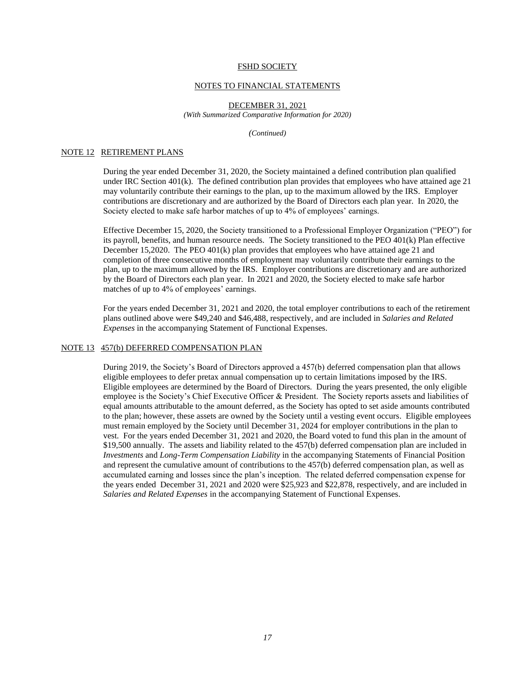#### NOTES TO FINANCIAL STATEMENTS

# DECEMBER 31, 2021

*(With Summarized Comparative Information for 2020)*

*(Continued)*

#### NOTE 12 RETIREMENT PLANS

During the year ended December 31, 2020, the Society maintained a defined contribution plan qualified under IRC Section  $401(k)$ . The defined contribution plan provides that employees who have attained age 21 may voluntarily contribute their earnings to the plan, up to the maximum allowed by the IRS. Employer contributions are discretionary and are authorized by the Board of Directors each plan year. In 2020, the Society elected to make safe harbor matches of up to 4% of employees' earnings.

Effective December 15, 2020, the Society transitioned to a Professional Employer Organization ("PEO") for its payroll, benefits, and human resource needs. The Society transitioned to the PEO 401(k) Plan effective December 15,2020. The PEO 401(k) plan provides that employees who have attained age 21 and completion of three consecutive months of employment may voluntarily contribute their earnings to the plan, up to the maximum allowed by the IRS. Employer contributions are discretionary and are authorized by the Board of Directors each plan year. In 2021 and 2020, the Society elected to make safe harbor matches of up to 4% of employees' earnings.

For the years ended December 31, 2021 and 2020, the total employer contributions to each of the retirement plans outlined above were \$49,240 and \$46,488, respectively, and are included in *Salaries and Related Expenses* in the accompanying Statement of Functional Expenses.

#### NOTE 13 457(b) DEFERRED COMPENSATION PLAN

During 2019, the Society's Board of Directors approved a 457(b) deferred compensation plan that allows eligible employees to defer pretax annual compensation up to certain limitations imposed by the IRS. Eligible employees are determined by the Board of Directors. During the years presented, the only eligible employee is the Society's Chief Executive Officer & President. The Society reports assets and liabilities of equal amounts attributable to the amount deferred, as the Society has opted to set aside amounts contributed to the plan; however, these assets are owned by the Society until a vesting event occurs. Eligible employees must remain employed by the Society until December 31, 2024 for employer contributions in the plan to vest. For the years ended December 31, 2021 and 2020, the Board voted to fund this plan in the amount of \$19,500 annually. The assets and liability related to the 457(b) deferred compensation plan are included in *Investments* and *Long-Term Compensation Liability* in the accompanying Statements of Financial Position and represent the cumulative amount of contributions to the 457(b) deferred compensation plan, as well as accumulated earning and losses since the plan's inception. The related deferred compensation expense for the years ended December 31, 2021 and 2020 were \$25,923 and \$22,878, respectively, and are included in *Salaries and Related Expenses* in the accompanying Statement of Functional Expenses.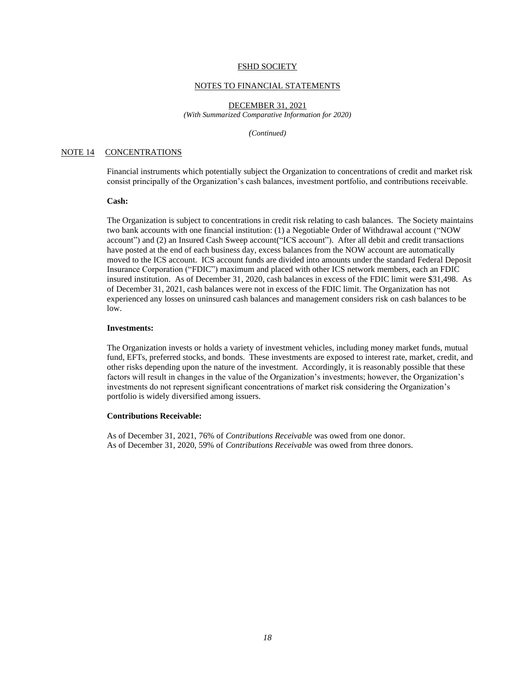#### NOTES TO FINANCIAL STATEMENTS

DECEMBER 31, 2021

*(With Summarized Comparative Information for 2020)*

*(Continued)*

#### NOTE 14 CONCENTRATIONS

Financial instruments which potentially subject the Organization to concentrations of credit and market risk consist principally of the Organization's cash balances, investment portfolio, and contributions receivable.

#### **Cash:**

The Organization is subject to concentrations in credit risk relating to cash balances. The Society maintains two bank accounts with one financial institution: (1) a Negotiable Order of Withdrawal account ("NOW account") and (2) an Insured Cash Sweep account("ICS account"). After all debit and credit transactions have posted at the end of each business day, excess balances from the NOW account are automatically moved to the ICS account. ICS account funds are divided into amounts under the standard Federal Deposit Insurance Corporation ("FDIC") maximum and placed with other ICS network members, each an FDIC insured institution. As of December 31, 2020, cash balances in excess of the FDIC limit were \$31,498. As of December 31, 2021, cash balances were not in excess of the FDIC limit. The Organization has not experienced any losses on uninsured cash balances and management considers risk on cash balances to be low.

## **Investments:**

The Organization invests or holds a variety of investment vehicles, including money market funds, mutual fund, EFTs, preferred stocks, and bonds. These investments are exposed to interest rate, market, credit, and other risks depending upon the nature of the investment. Accordingly, it is reasonably possible that these factors will result in changes in the value of the Organization's investments; however, the Organization's investments do not represent significant concentrations of market risk considering the Organization's portfolio is widely diversified among issuers.

## **Contributions Receivable:**

As of December 31, 2021, 76% of *Contributions Receivable* was owed from one donor. As of December 31, 2020, 59% of *Contributions Receivable* was owed from three donors.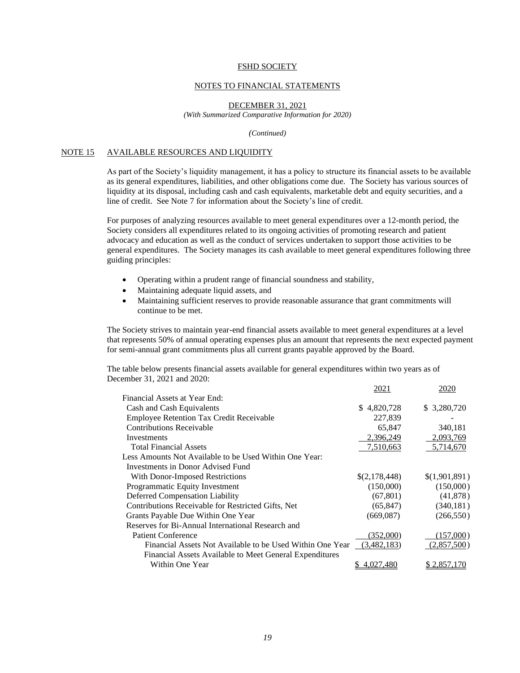### NOTES TO FINANCIAL STATEMENTS

#### DECEMBER 31, 2021

*(With Summarized Comparative Information for 2020)*

*(Continued)*

#### NOTE 15 AVAILABLE RESOURCES AND LIQUIDITY

As part of the Society's liquidity management, it has a policy to structure its financial assets to be available as its general expenditures, liabilities, and other obligations come due. The Society has various sources of liquidity at its disposal, including cash and cash equivalents, marketable debt and equity securities, and a line of credit. See Note 7 for information about the Society's line of credit.

For purposes of analyzing resources available to meet general expenditures over a 12-month period, the Society considers all expenditures related to its ongoing activities of promoting research and patient advocacy and education as well as the conduct of services undertaken to support those activities to be general expenditures. The Society manages its cash available to meet general expenditures following three guiding principles:

- Operating within a prudent range of financial soundness and stability,
- Maintaining adequate liquid assets, and
- Maintaining sufficient reserves to provide reasonable assurance that grant commitments will continue to be met.

The Society strives to maintain year-end financial assets available to meet general expenditures at a level that represents 50% of annual operating expenses plus an amount that represents the next expected payment for semi-annual grant commitments plus all current grants payable approved by the Board.

The table below presents financial assets available for general expenditures within two years as of December 31, 2021 and 2020:

|                                                           | 2021          | 2020          |
|-----------------------------------------------------------|---------------|---------------|
| Financial Assets at Year End:                             |               |               |
| Cash and Cash Equivalents                                 | \$4,820,728   | \$ 3,280,720  |
| <b>Employee Retention Tax Credit Receivable</b>           | 227,839       |               |
| <b>Contributions Receivable</b>                           | 65,847        | 340,181       |
| Investments                                               | 2,396,249     | 2,093,769     |
| <b>Total Financial Assets</b>                             | 7,510,663     | 5,714,670     |
| Less Amounts Not Available to be Used Within One Year:    |               |               |
| Investments in Donor Advised Fund                         |               |               |
| With Donor-Imposed Restrictions                           | \$(2,178,448) | \$(1,901,891) |
| Programmatic Equity Investment                            | (150,000)     | (150,000)     |
| Deferred Compensation Liability                           | (67, 801)     | (41,878)      |
| Contributions Receivable for Restricted Gifts, Net        | (65, 847)     | (340, 181)    |
| Grants Payable Due Within One Year                        | (669,087)     | (266, 550)    |
| Reserves for Bi-Annual International Research and         |               |               |
| <b>Patient Conference</b>                                 | (352,000)     | (157,000)     |
| Financial Assets Not Available to be Used Within One Year | (3,482,183)   | (2,857,500)   |
| Financial Assets Available to Meet General Expenditures   |               |               |
| Within One Year                                           | 4,027,480     | \$2,857,170   |
|                                                           |               |               |